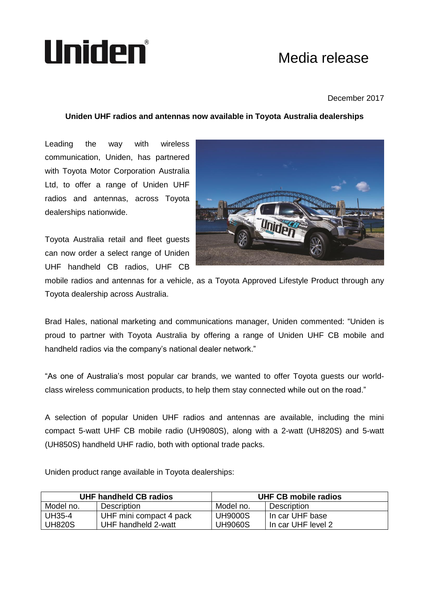## Uniden®

## Media release

## December 2017

## **Uniden UHF radios and antennas now available in Toyota Australia dealerships**

Leading the way with wireless communication, Uniden, has partnered with Toyota Motor Corporation Australia Ltd, to offer a range of Uniden UHF radios and antennas, across Toyota dealerships nationwide.

Toyota Australia retail and fleet guests can now order a select range of Uniden UHF handheld CB radios, UHF CB



mobile radios and antennas for a vehicle, as a Toyota Approved Lifestyle Product through any Toyota dealership across Australia.

Brad Hales, national marketing and communications manager, Uniden commented: "Uniden is proud to partner with Toyota Australia by offering a range of Uniden UHF CB mobile and handheld radios via the company's national dealer network."

"As one of Australia's most popular car brands, we wanted to offer Toyota guests our worldclass wireless communication products, to help them stay connected while out on the road."

A selection of popular Uniden UHF radios and antennas are available, including the mini compact 5-watt UHF CB mobile radio (UH9080S), along with a 2-watt (UH820S) and 5-watt (UH850S) handheld UHF radio, both with optional trade packs.

Uniden product range available in Toyota dealerships:

| UHF handheld CB radios |                         | UHF CB mobile radios |                      |
|------------------------|-------------------------|----------------------|----------------------|
| Model no.              | <b>Description</b>      | Model no.            | Description          |
| UH35-4                 | UHF mini compact 4 pack | <b>UH9000S</b>       | l In car UHF base    |
| UH820S                 | UHF handheld 2-watt     | <b>UH9060S</b>       | l In car UHF level 2 |